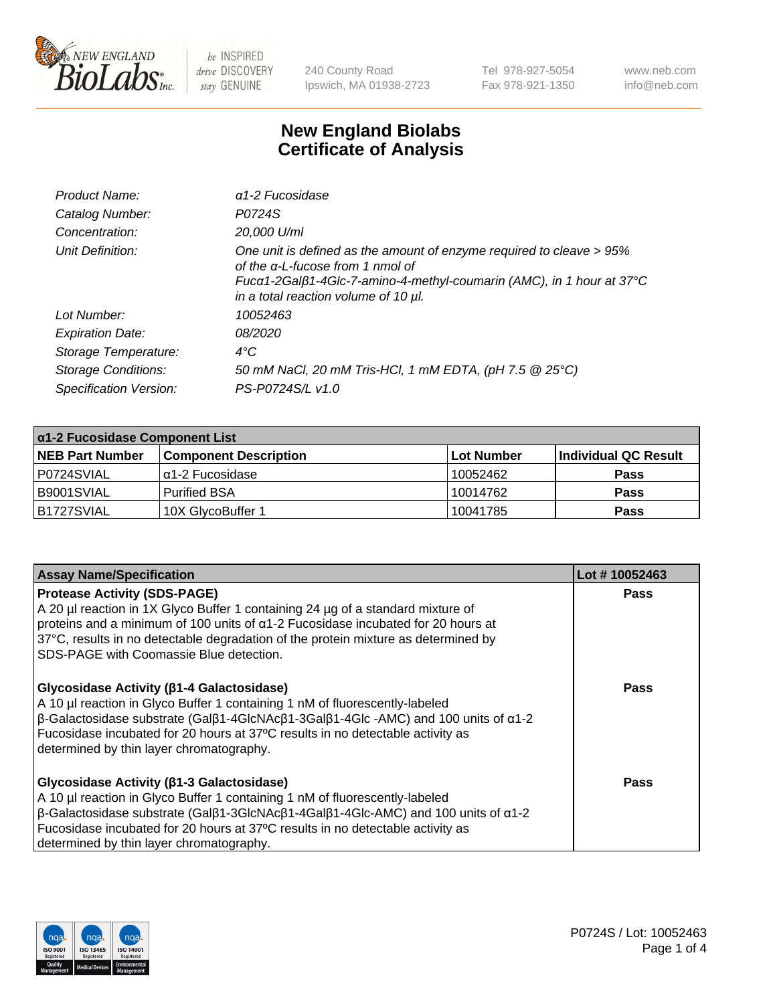

240 County Road Ipswich, MA 01938-2723 Tel 978-927-5054 Fax 978-921-1350 www.neb.com info@neb.com

## **New England Biolabs Certificate of Analysis**

| Product Name:              | $\alpha$ 1-2 Fucosidase                                                                                                                                                                                                  |
|----------------------------|--------------------------------------------------------------------------------------------------------------------------------------------------------------------------------------------------------------------------|
| Catalog Number:            | P0724S                                                                                                                                                                                                                   |
| Concentration:             | 20,000 U/ml                                                                                                                                                                                                              |
| Unit Definition:           | One unit is defined as the amount of enzyme required to cleave > 95%<br>of the a-L-fucose from 1 nmol of<br>Fucα1-2Galβ1-4Glc-7-amino-4-methyl-coumarin (AMC), in 1 hour at 37°C<br>in a total reaction volume of 10 µl. |
| Lot Number:                | 10052463                                                                                                                                                                                                                 |
| <b>Expiration Date:</b>    | <i>08/2020</i>                                                                                                                                                                                                           |
| Storage Temperature:       | $4^{\circ}$ C                                                                                                                                                                                                            |
| <b>Storage Conditions:</b> | 50 mM NaCl, 20 mM Tris-HCl, 1 mM EDTA, (pH 7.5 @ 25°C)                                                                                                                                                                   |
| Specification Version:     | PS-P0724S/L v1.0                                                                                                                                                                                                         |

| $\alpha$ 1-2 Fucosidase Component List |                              |            |                      |  |
|----------------------------------------|------------------------------|------------|----------------------|--|
| <b>NEB Part Number</b>                 | <b>Component Description</b> | Lot Number | Individual QC Result |  |
| P0724SVIAL                             | <sup>ι</sup> α1-2 Fucosidase | 10052462   | <b>Pass</b>          |  |
| B9001SVIAL                             | <b>Purified BSA</b>          | 10014762   | <b>Pass</b>          |  |
| B1727SVIAL                             | 10X GlycoBuffer 1            | 10041785   | <b>Pass</b>          |  |

| <b>Assay Name/Specification</b>                                                                                                                                                                                                                                                                                                                                                     | Lot #10052463 |
|-------------------------------------------------------------------------------------------------------------------------------------------------------------------------------------------------------------------------------------------------------------------------------------------------------------------------------------------------------------------------------------|---------------|
| <b>Protease Activity (SDS-PAGE)</b><br>A 20 µl reaction in 1X Glyco Buffer 1 containing 24 µg of a standard mixture of<br>proteins and a minimum of 100 units of $\alpha$ 1-2 Fucosidase incubated for 20 hours at<br>37°C, results in no detectable degradation of the protein mixture as determined by<br>SDS-PAGE with Coomassie Blue detection.                                 | <b>Pass</b>   |
| Glycosidase Activity (β1-4 Galactosidase)<br>A 10 µl reaction in Glyco Buffer 1 containing 1 nM of fluorescently-labeled<br>$\beta$ -Galactosidase substrate (Gal $\beta$ 1-4GlcNAc $\beta$ 1-3Gal $\beta$ 1-4Glc -AMC) and 100 units of $\alpha$ 1-2<br>Fucosidase incubated for 20 hours at 37°C results in no detectable activity as<br>determined by thin layer chromatography. | Pass          |
| Glycosidase Activity (β1-3 Galactosidase)<br>A 10 µl reaction in Glyco Buffer 1 containing 1 nM of fluorescently-labeled<br>$\beta$ -Galactosidase substrate (Galβ1-3GlcNAcβ1-4Galβ1-4Glc-AMC) and 100 units of α1-2<br>Fucosidase incubated for 20 hours at 37°C results in no detectable activity as<br>determined by thin layer chromatography.                                  | <b>Pass</b>   |

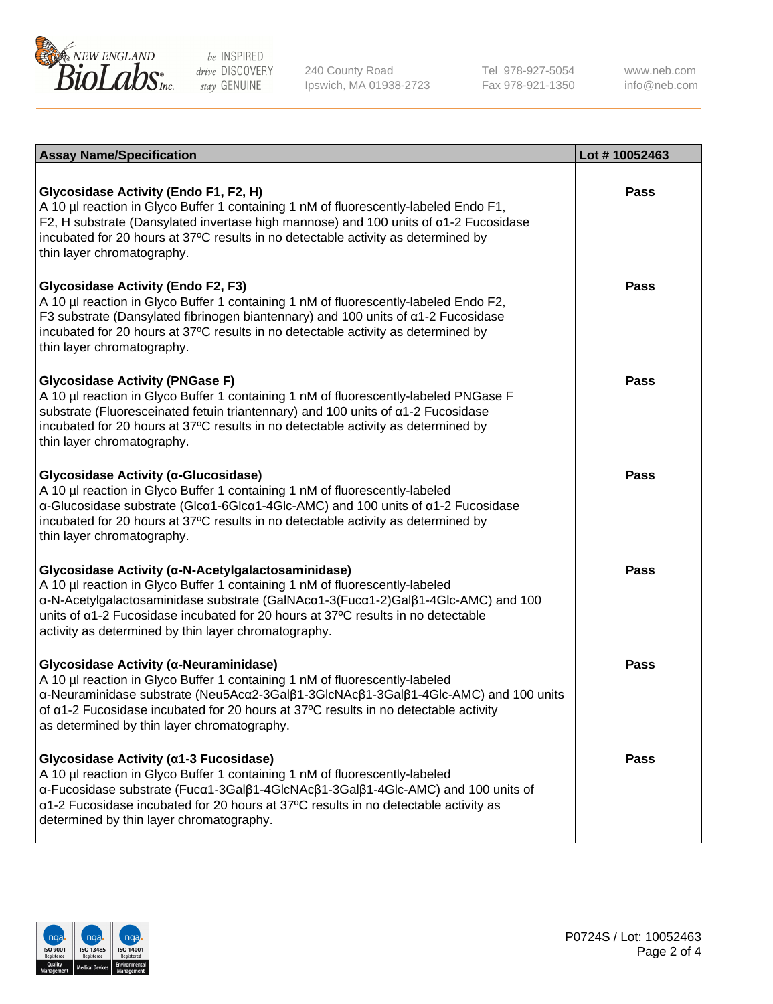

240 County Road Ipswich, MA 01938-2723 Tel 978-927-5054 Fax 978-921-1350

www.neb.com info@neb.com

| <b>Assay Name/Specification</b>                                                                                                                                                                                                                                                                                                                                    | Lot #10052463 |
|--------------------------------------------------------------------------------------------------------------------------------------------------------------------------------------------------------------------------------------------------------------------------------------------------------------------------------------------------------------------|---------------|
| Glycosidase Activity (Endo F1, F2, H)<br>A 10 µl reaction in Glyco Buffer 1 containing 1 nM of fluorescently-labeled Endo F1,<br>F2, H substrate (Dansylated invertase high mannose) and 100 units of a1-2 Fucosidase<br>incubated for 20 hours at 37°C results in no detectable activity as determined by<br>thin layer chromatography.                           | <b>Pass</b>   |
| <b>Glycosidase Activity (Endo F2, F3)</b><br>A 10 µl reaction in Glyco Buffer 1 containing 1 nM of fluorescently-labeled Endo F2,<br>F3 substrate (Dansylated fibrinogen biantennary) and 100 units of $\alpha$ 1-2 Fucosidase<br>incubated for 20 hours at 37°C results in no detectable activity as determined by<br>thin layer chromatography.                  | Pass          |
| <b>Glycosidase Activity (PNGase F)</b><br>A 10 µl reaction in Glyco Buffer 1 containing 1 nM of fluorescently-labeled PNGase F<br>substrate (Fluoresceinated fetuin triantennary) and 100 units of $\alpha$ 1-2 Fucosidase<br>incubated for 20 hours at 37°C results in no detectable activity as determined by<br>thin layer chromatography.                      | <b>Pass</b>   |
| Glycosidase Activity (α-Glucosidase)<br>A 10 µl reaction in Glyco Buffer 1 containing 1 nM of fluorescently-labeled<br>α-Glucosidase substrate (Glcα1-6Glcα1-4Glc-AMC) and 100 units of α1-2 Fucosidase<br>incubated for 20 hours at 37°C results in no detectable activity as determined by<br>thin layer chromatography.                                         | <b>Pass</b>   |
| Glycosidase Activity (α-N-Acetylgalactosaminidase)<br>A 10 µl reaction in Glyco Buffer 1 containing 1 nM of fluorescently-labeled<br>α-N-Acetylgalactosaminidase substrate (GalNAcα1-3(Fucα1-2)Galβ1-4Glc-AMC) and 100<br>units of a1-2 Fucosidase incubated for 20 hours at 37°C results in no detectable<br>activity as determined by thin layer chromatography. | <b>Pass</b>   |
| Glycosidase Activity (α-Neuraminidase)<br>A 10 µl reaction in Glyco Buffer 1 containing 1 nM of fluorescently-labeled<br>α-Neuraminidase substrate (Neu5Acα2-3Galβ1-3GlcNAcβ1-3Galβ1-4Glc-AMC) and 100 units<br>of a1-2 Fucosidase incubated for 20 hours at 37°C results in no detectable activity<br>as determined by thin layer chromatography.                 | <b>Pass</b>   |
| Glycosidase Activity (α1-3 Fucosidase)<br>A 10 µl reaction in Glyco Buffer 1 containing 1 nM of fluorescently-labeled<br>α-Fucosidase substrate (Fucα1-3Galβ1-4GlcNAcβ1-3Galβ1-4Glc-AMC) and 100 units of<br>α1-2 Fucosidase incubated for 20 hours at 37°C results in no detectable activity as<br>determined by thin layer chromatography.                       | Pass          |

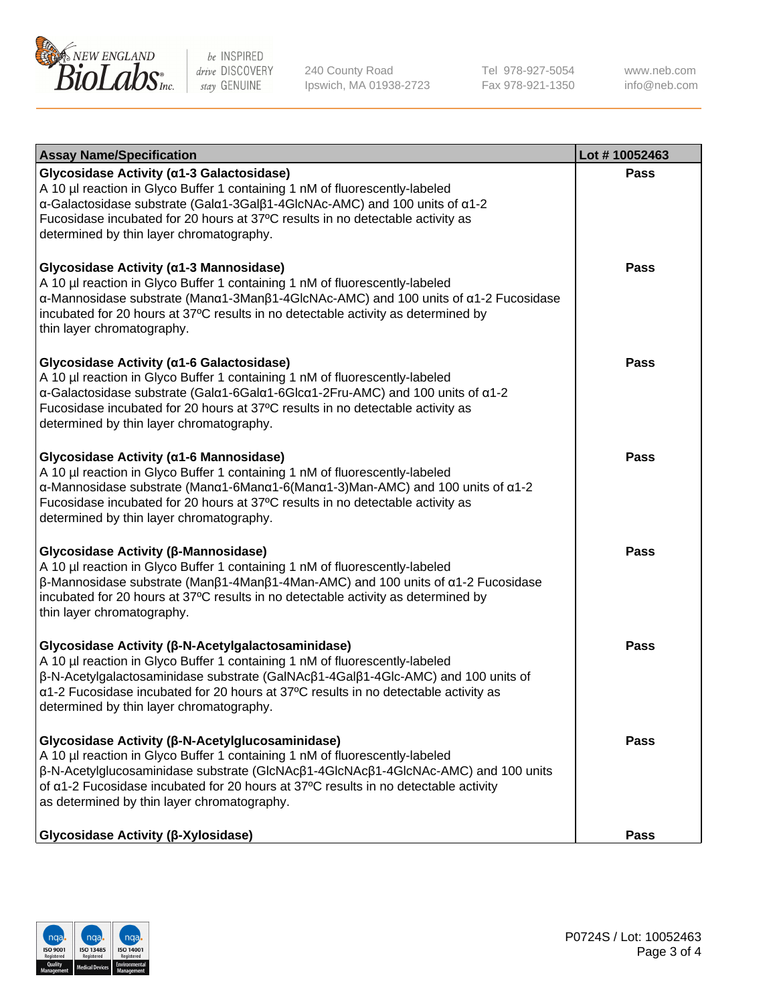

240 County Road Ipswich, MA 01938-2723 Tel 978-927-5054 Fax 978-921-1350 www.neb.com info@neb.com

| <b>Assay Name/Specification</b>                                                                                                                                                                                                                                                                                                                                     | Lot #10052463 |
|---------------------------------------------------------------------------------------------------------------------------------------------------------------------------------------------------------------------------------------------------------------------------------------------------------------------------------------------------------------------|---------------|
| Glycosidase Activity (a1-3 Galactosidase)<br>A 10 µl reaction in Glyco Buffer 1 containing 1 nM of fluorescently-labeled<br>α-Galactosidase substrate (Galα1-3Galβ1-4GlcNAc-AMC) and 100 units of α1-2<br>Fucosidase incubated for 20 hours at 37°C results in no detectable activity as<br>determined by thin layer chromatography.                                | <b>Pass</b>   |
| Glycosidase Activity (α1-3 Mannosidase)<br>A 10 µl reaction in Glyco Buffer 1 containing 1 nM of fluorescently-labeled<br>α-Mannosidase substrate (Μanα1-3Μanβ1-4GlcNAc-AMC) and 100 units of α1-2 Fucosidase<br>incubated for 20 hours at 37°C results in no detectable activity as determined by<br>thin layer chromatography.                                    | <b>Pass</b>   |
| Glycosidase Activity (α1-6 Galactosidase)<br>A 10 µl reaction in Glyco Buffer 1 containing 1 nM of fluorescently-labeled<br>α-Galactosidase substrate (Galα1-6Galα1-6Glcα1-2Fru-AMC) and 100 units of α1-2<br>Fucosidase incubated for 20 hours at 37°C results in no detectable activity as<br>determined by thin layer chromatography.                            | Pass          |
| Glycosidase Activity (a1-6 Mannosidase)<br>A 10 µl reaction in Glyco Buffer 1 containing 1 nM of fluorescently-labeled<br>α-Mannosidase substrate (Μanα1-6Μanα1-6(Μanα1-3)Man-AMC) and 100 units of α1-2<br>Fucosidase incubated for 20 hours at 37°C results in no detectable activity as<br>determined by thin layer chromatography.                              | Pass          |
| Glycosidase Activity (β-Mannosidase)<br>A 10 µl reaction in Glyco Buffer 1 containing 1 nM of fluorescently-labeled<br>$\beta$ -Mannosidase substrate (Man $\beta$ 1-4Man $\beta$ 1-4Man-AMC) and 100 units of $\alpha$ 1-2 Fucosidase<br>incubated for 20 hours at 37°C results in no detectable activity as determined by<br>thin layer chromatography.           | <b>Pass</b>   |
| Glycosidase Activity (β-N-Acetylgalactosaminidase)<br>A 10 µl reaction in Glyco Buffer 1 containing 1 nM of fluorescently-labeled<br>β-N-Acetylgalactosaminidase substrate (GalNAcβ1-4Galβ1-4Glc-AMC) and 100 units of<br>α1-2 Fucosidase incubated for 20 hours at 37°C results in no detectable activity as<br>determined by thin layer chromatography.           | <b>Pass</b>   |
| Glycosidase Activity (β-N-Acetylglucosaminidase)<br>A 10 µl reaction in Glyco Buffer 1 containing 1 nM of fluorescently-labeled<br>β-N-Acetylglucosaminidase substrate (GlcNAcβ1-4GlcNAcβ1-4GlcNAc-AMC) and 100 units<br>of $\alpha$ 1-2 Fucosidase incubated for 20 hours at 37°C results in no detectable activity<br>as determined by thin layer chromatography. | Pass          |
| Glycosidase Activity (β-Xylosidase)                                                                                                                                                                                                                                                                                                                                 | <b>Pass</b>   |